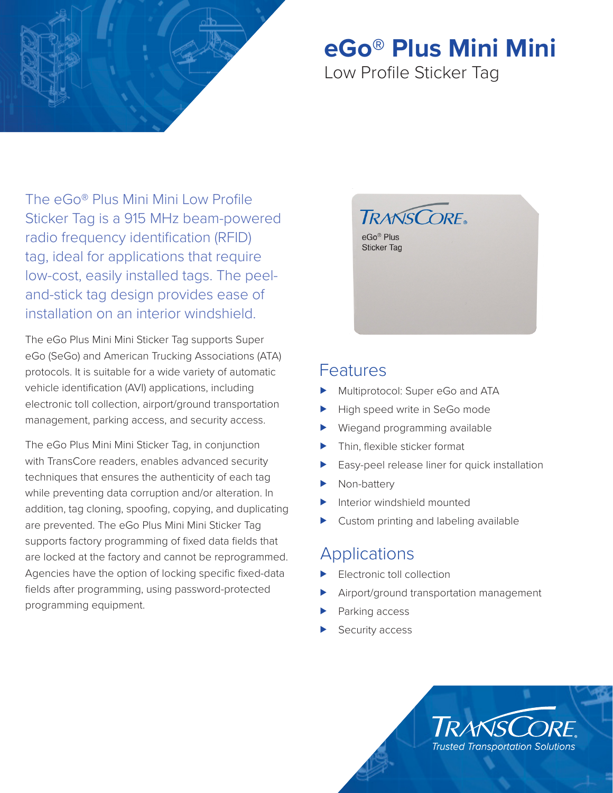

## **eGo® Plus Mini Mini**

## Low Profile Sticker Tag

The eGo® Plus Mini Mini Low Profile Sticker Tag is a 915 MHz beam-powered radio frequency identification (RFID) tag, ideal for applications that require low-cost, easily installed tags. The peeland-stick tag design provides ease of installation on an interior windshield.

The eGo Plus Mini Mini Sticker Tag supports Super eGo (SeGo) and American Trucking Associations (ATA) protocols. It is suitable for a wide variety of automatic vehicle identification (AVI) applications, including electronic toll collection, airport/ground transportation management, parking access, and security access.

The eGo Plus Mini Mini Sticker Tag, in conjunction with TransCore readers, enables advanced security techniques that ensures the authenticity of each tag while preventing data corruption and/or alteration. In addition, tag cloning, spoofing, copying, and duplicating are prevented. The eGo Plus Mini Mini Sticker Tag supports factory programming of fixed data fields that are locked at the factory and cannot be reprogrammed. Agencies have the option of locking specific fixed-data fields after programming, using password-protected programming equipment.



### Features

- Multiprotocol: Super eGo and ATA
- High speed write in SeGo mode
- Wiegand programming available
- Thin, flexible sticker format
- Easy-peel release liner for quick installation
- Non-battery
- Interior windshield mounted
- Custom printing and labeling available

## **Applications**

- Electronic toll collection
- Airport/ground transportation management
- Parking access
- Security access